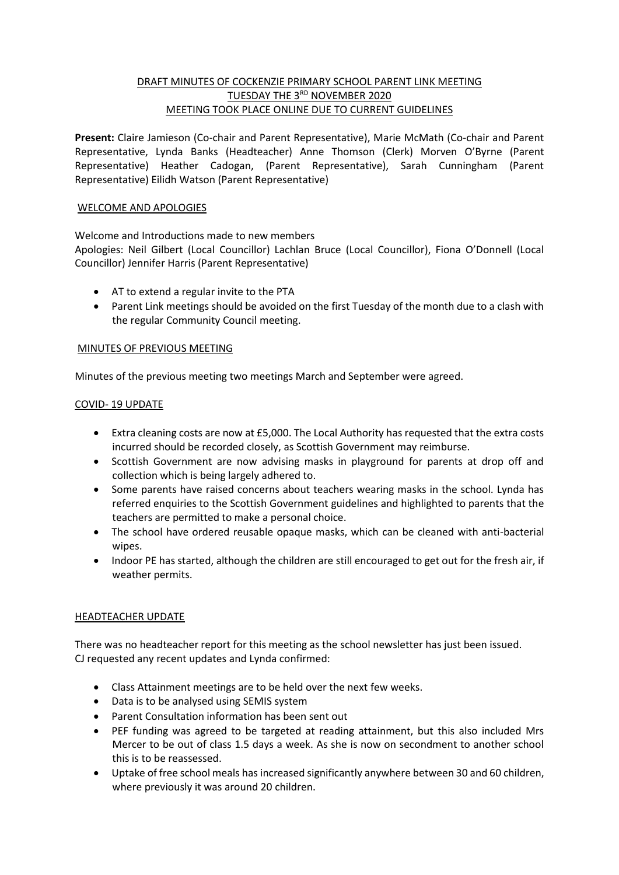# DRAFT MINUTES OF COCKENZIE PRIMARY SCHOOL PARENT LINK MEETING TUESDAY THE 3RD NOVEMBER 2020 MEETING TOOK PLACE ONLINE DUE TO CURRENT GUIDELINES

**Present:** Claire Jamieson (Co-chair and Parent Representative), Marie McMath (Co-chair and Parent Representative, Lynda Banks (Headteacher) Anne Thomson (Clerk) Morven O'Byrne (Parent Representative) Heather Cadogan, (Parent Representative), Sarah Cunningham (Parent Representative) Eilidh Watson (Parent Representative)

#### WELCOME AND APOLOGIES

## Welcome and Introductions made to new members

Apologies: Neil Gilbert (Local Councillor) Lachlan Bruce (Local Councillor), Fiona O'Donnell (Local Councillor) Jennifer Harris (Parent Representative)

- AT to extend a regular invite to the PTA
- Parent Link meetings should be avoided on the first Tuesday of the month due to a clash with the regular Community Council meeting.

#### MINUTES OF PREVIOUS MEETING

Minutes of the previous meeting two meetings March and September were agreed.

#### COVID- 19 UPDATE

- Extra cleaning costs are now at £5,000. The Local Authority has requested that the extra costs incurred should be recorded closely, as Scottish Government may reimburse.
- Scottish Government are now advising masks in playground for parents at drop off and collection which is being largely adhered to.
- Some parents have raised concerns about teachers wearing masks in the school. Lynda has referred enquiries to the Scottish Government guidelines and highlighted to parents that the teachers are permitted to make a personal choice.
- The school have ordered reusable opaque masks, which can be cleaned with anti-bacterial wipes.
- Indoor PE has started, although the children are still encouraged to get out for the fresh air, if weather permits.

#### HEADTEACHER UPDATE

There was no headteacher report for this meeting as the school newsletter has just been issued. CJ requested any recent updates and Lynda confirmed:

- Class Attainment meetings are to be held over the next few weeks.
- Data is to be analysed using SEMIS system
- Parent Consultation information has been sent out
- PEF funding was agreed to be targeted at reading attainment, but this also included Mrs Mercer to be out of class 1.5 days a week. As she is now on secondment to another school this is to be reassessed.
- Uptake of free school meals has increased significantly anywhere between 30 and 60 children, where previously it was around 20 children.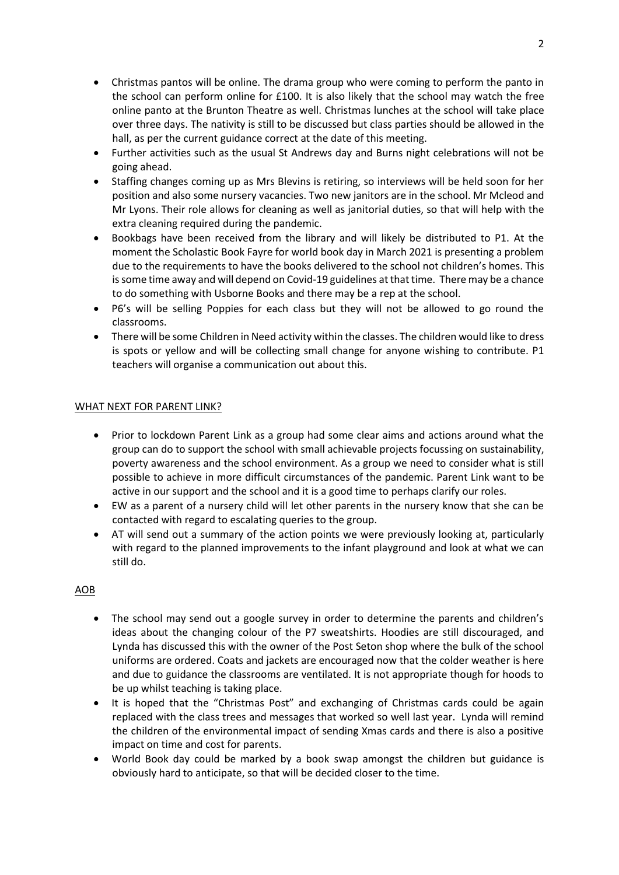- Christmas pantos will be online. The drama group who were coming to perform the panto in the school can perform online for £100. It is also likely that the school may watch the free online panto at the Brunton Theatre as well. Christmas lunches at the school will take place over three days. The nativity is still to be discussed but class parties should be allowed in the hall, as per the current guidance correct at the date of this meeting.
- Further activities such as the usual St Andrews day and Burns night celebrations will not be going ahead.
- Staffing changes coming up as Mrs Blevins is retiring, so interviews will be held soon for her position and also some nursery vacancies. Two new janitors are in the school. Mr Mcleod and Mr Lyons. Their role allows for cleaning as well as janitorial duties, so that will help with the extra cleaning required during the pandemic.
- Bookbags have been received from the library and will likely be distributed to P1. At the moment the Scholastic Book Fayre for world book day in March 2021 is presenting a problem due to the requirements to have the books delivered to the school not children's homes. This is some time away and will depend on Covid-19 guidelines at that time. There may be a chance to do something with Usborne Books and there may be a rep at the school.
- P6's will be selling Poppies for each class but they will not be allowed to go round the classrooms.
- There will be some Children in Need activity within the classes. The children would like to dress is spots or yellow and will be collecting small change for anyone wishing to contribute. P1 teachers will organise a communication out about this.

### WHAT NEXT FOR PARENT LINK?

- Prior to lockdown Parent Link as a group had some clear aims and actions around what the group can do to support the school with small achievable projects focussing on sustainability, poverty awareness and the school environment. As a group we need to consider what is still possible to achieve in more difficult circumstances of the pandemic. Parent Link want to be active in our support and the school and it is a good time to perhaps clarify our roles.
- EW as a parent of a nursery child will let other parents in the nursery know that she can be contacted with regard to escalating queries to the group.
- AT will send out a summary of the action points we were previously looking at, particularly with regard to the planned improvements to the infant playground and look at what we can still do.

## AOB

- The school may send out a google survey in order to determine the parents and children's ideas about the changing colour of the P7 sweatshirts. Hoodies are still discouraged, and Lynda has discussed this with the owner of the Post Seton shop where the bulk of the school uniforms are ordered. Coats and jackets are encouraged now that the colder weather is here and due to guidance the classrooms are ventilated. It is not appropriate though for hoods to be up whilst teaching is taking place.
- It is hoped that the "Christmas Post" and exchanging of Christmas cards could be again replaced with the class trees and messages that worked so well last year. Lynda will remind the children of the environmental impact of sending Xmas cards and there is also a positive impact on time and cost for parents.
- World Book day could be marked by a book swap amongst the children but guidance is obviously hard to anticipate, so that will be decided closer to the time.